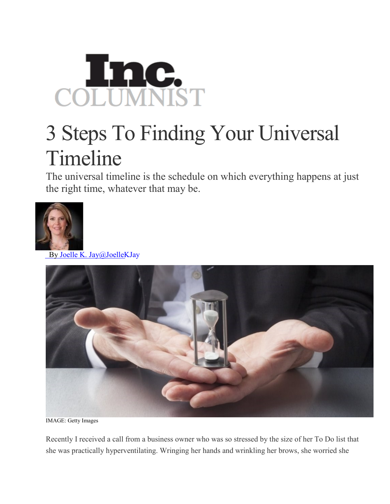

## 3 Steps To Finding Your Universal Timeline

The universal timeline is the schedule on which everything happens at just the right time, whatever that may be.



By Joelle K. [Jay@JoelleKJay](http://www.inc.com/author/joelle-k-jay)



IMAGE: Getty Images

Recently I received a call from a business owner who was so stressed by the size of her To Do list that she was practically hyperventilating. Wringing her hands and wrinkling her brows, she worried she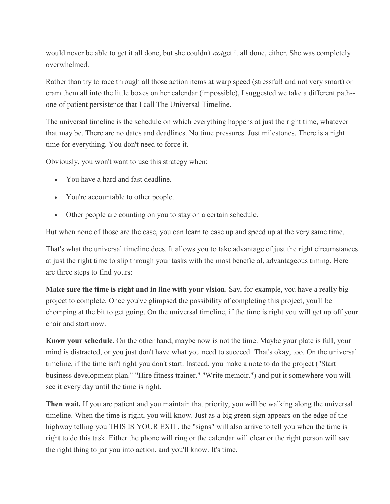would never be able to get it all done, but she couldn't *not*get it all done, either. She was completely overwhelmed.

Rather than try to race through all those action items at warp speed (stressful! and not very smart) or cram them all into the little boxes on her calendar (impossible), I suggested we take a different path- one of patient persistence that I call The Universal Timeline.

The universal timeline is the schedule on which everything happens at just the right time, whatever that may be. There are no dates and deadlines. No time pressures. Just milestones. There is a right time for everything. You don't need to force it.

Obviously, you won't want to use this strategy when:

- You have a hard and fast deadline.
- You're accountable to other people.
- Other people are counting on you to stay on a certain schedule.

But when none of those are the case, you can learn to ease up and speed up at the very same time.

That's what the universal timeline does. It allows you to take advantage of just the right circumstances at just the right time to slip through your tasks with the most beneficial, advantageous timing. Here are three steps to find yours:

**Make sure the time is right and in line with your vision**. Say, for example, you have a really big project to complete. Once you've glimpsed the possibility of completing this project, you'll be chomping at the bit to get going. On the universal timeline, if the time is right you will get up off your chair and start now.

**Know your schedule.** On the other hand, maybe now is not the time. Maybe your plate is full, your mind is distracted, or you just don't have what you need to succeed. That's okay, too. On the universal timeline, if the time isn't right you don't start. Instead, you make a note to do the project ("Start business development plan." "Hire fitness trainer." "Write memoir.") and put it somewhere you will see it every day until the time is right.

**Then wait.** If you are patient and you maintain that priority, you will be walking along the universal timeline. When the time is right, you will know. Just as a big green sign appears on the edge of the highway telling you THIS IS YOUR EXIT, the "signs" will also arrive to tell you when the time is right to do this task. Either the phone will ring or the calendar will clear or the right person will say the right thing to jar you into action, and you'll know. It's time.